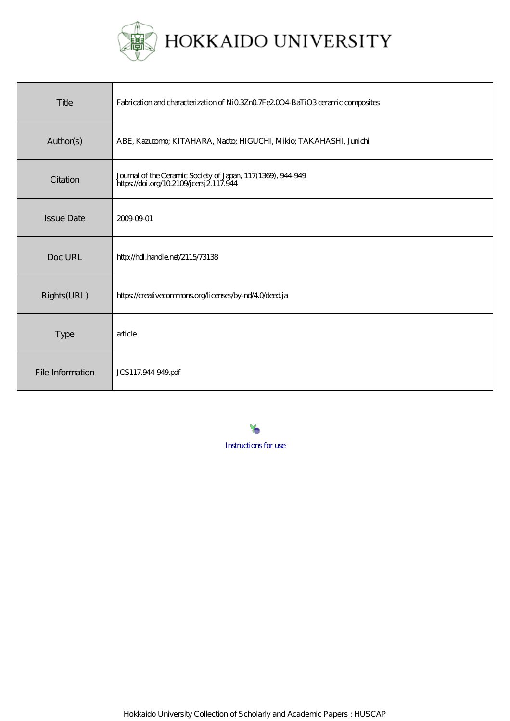

| Title             | Fabrication and characterization of Ni03Zn07Fe2004 BaTiO3 ceramic composites                           |
|-------------------|--------------------------------------------------------------------------------------------------------|
| Author(s)         | ABE, Kazutomo; KITAHARA, Naoto; HIGUCHI, Mikio; TAKAHASHI, Junichi                                     |
| Citation          | Journal of the Ceramic Society of Japan, 117(1389), 944-949<br>https://doi.org/10.2109/joersj2.117.944 |
| <b>Issue Date</b> | 2009-09-01                                                                                             |
| Doc URL           | http://hdl.handle.net/2115/73138                                                                       |
| Rights(URL)       | https://creativecommons.org/licenses/by-nd/40/deed.ja                                                  |
| <b>Type</b>       | article                                                                                                |
| File Information  | JCS117.944-949.pdf                                                                                     |

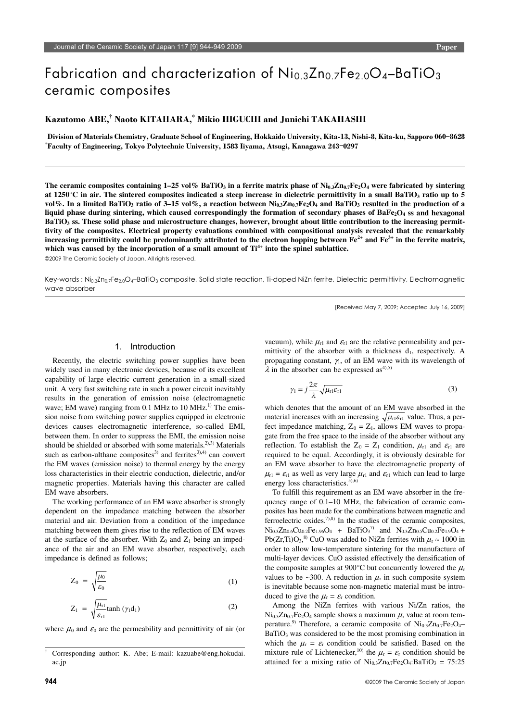# Fabrication and characterization of Ni<sub>0.3</sub>Zn<sub>0.7</sub>Fe<sub>2.0</sub>O<sub>4</sub>-BaTiO<sub>3</sub> ceramic composites

# $\boldsymbol{\mathrm{Kaz}}$ utomo ABE, $^\dagger$  Naoto KITAHARA, $^\ast$  Mikio HIGUCHI and Junichi TAKAHASHI

**Division of Materials Chemistry, Graduate School of Engineering, Hokkaido University, Kita-13, Nishi-8, Kita-ku, Sapporo 060**-**8628** \* **Faculty of Engineering, Tokyo Polytechnic University, 1583 Iiyama, Atsugi, Kanagawa 243**-**0297**

The ceramic composites containing  $1-25 \text{ vol}\%$  BaTiO<sub>3</sub> in a ferrite matrix phase of  $\text{Ni}_{0.3}\text{Zn}_{0.7}\text{Fe}_2\text{O}_4$  were fabricated by sintering at 1250 $^{\circ}$ C in air. The sintered composites indicated a steep increase in dielectric permittivity in a small BaTiO<sub>3</sub> ratio up to 5 vol%. In a limited BaTiO<sub>3</sub> ratio of  $3-15$  vol%, a reaction between  $\text{Ni}_{0.3}\text{Zn}_{0.7}\text{Fe}_2\text{O}_4$  and BaTiO<sub>3</sub> resulted in the production of a liquid phase during sintering, which caused correspondingly the formation of secondary phases of BaFe<sub>2</sub>O<sub>4</sub> ss and hexagonal **BaTiO3 ss. These solid phase and microstructure changes, however, brought about little contribution to the increasing permittivity of the composites. Electrical property evaluations combined with compositional analysis revealed that the remarkably**  increasing permittivity could be predominantly attributed to the electron hopping between  $Fe^{2+}$  and  $Fe^{3+}$  in the ferrite matrix, which was caused by the incorporation of a small amount of  $Ti^{4+}$  into the spinel sublattice.

©2009 The Ceramic Society of Japan. All rights reserved.

Key-words : Ni0.3Zn0.7Fe2.0O4–BaTiO3 composite, Solid state reaction, Ti-doped NiZn ferrite, Dielectric permittivity, Electromagnetic wave absorber

[Received May 7, 2009; Accepted July 16, 2009]

#### 1. Introduction

Recently, the electric switching power supplies have been widely used in many electronic devices, because of its excellent capability of large electric current generation in a small-sized unit. A very fast switching rate in such a power circuit inevitably results in the generation of emission noise (electromagnetic wave; EM wave) ranging from  $0.1$  MHz to  $10$  MHz.<sup>1)</sup> The emission noise from switching power supplies equipped in electronic devices causes electromagnetic interference, so-called EMI, between them. In order to suppress the EMI, the emission noise should be shielded or absorbed with some materials.<sup>2),3)</sup> Materials such as carbon-ulthane composites<sup>3)</sup> and ferrites<sup>3),4)</sup> can convert the EM waves (emission noise) to thermal energy by the energy loss characteristics in their electric conduction, dielectric, and/or magnetic properties. Materials having this character are called EM wave absorbers.

The working performance of an EM wave absorber is strongly dependent on the impedance matching between the absorber material and air. Deviation from a condition of the impedance matching between them gives rise to the reflection of EM waves at the surface of the absorber. With  $Z_0$  and  $Z_1$  being an impedance of the air and an EM wave absorber, respectively, each impedance is defined as follows;

$$
Z_0 = \sqrt{\frac{\mu_0}{\varepsilon_0}}\tag{1}
$$

$$
Z_1 = \sqrt{\frac{\mu_{r1}}{\varepsilon_{r1}}} \tanh\left(\gamma_1 d_1\right) \tag{2}
$$

where  $\mu_0$  and  $\varepsilon_0$  are the permeability and permittivity of air (or

vacuum), while  $\mu_{r1}$  and  $\varepsilon_{r1}$  are the relative permeability and permittivity of the absorber with a thickness  $d_1$ , respectively. A propagating constant,  $\gamma_1$ , of an EM wave with its wavelength of  $\lambda$  in the absorber can be expressed as<sup>4),5)</sup>

$$
\gamma_1 = j \frac{2\pi}{\lambda} \sqrt{\mu_{\rm r1} \varepsilon_{\rm r1}} \tag{3}
$$

which denotes that the amount of an EM wave absorbed in the material increases with an increasing  $\sqrt{\mu_{r1} \varepsilon_{r1}}$  value. Thus, a perfect impedance matching,  $Z_0 = Z_1$ , allows EM waves to propagate from the free space to the inside of the absorber without any reflection. To establish the  $Z_0 = Z_1$  condition,  $\mu_{r1}$  and  $\varepsilon_{r1}$  are required to be equal. Accordingly, it is obviously desirable for an EM wave absorber to have the electromagnetic property of  $\mu_{r1} = \varepsilon_{r1}$  as well as very large  $\mu_{r1}$  and  $\varepsilon_{r1}$  which can lead to large energy loss characteristics. $5,6$ )

To fulfill this requirement as an EM wave absorber in the frequency range of 0.1–10 MHz, the fabrication of ceramic composites has been made for the combinations between magnetic and ferroelectric oxides.<sup>7),8)</sup> In the studies of the ceramic composites,  $Ni_{0.3}Zn_{0.6}Cu_{0.2}Fe_{1.96}O_4$  + BaTiO<sub>3</sub><sup>7)</sup> and  $N_{0.3}Zn_{0.5}Cu_{0.2}Fe_{1.9}O_4$  + Pb(Zr,Ti)O<sub>3</sub>,<sup>8)</sup> CuO was added to NiZn ferrites with  $\mu$ <sub>r</sub>  $\approx$  1000 in order to allow low-temperature sintering for the manufacture of multi-layer devices. CuO assisted effectively the densification of the composite samples at 900 $^{\circ}$ C but concurrently lowered the  $\mu$ <sub>r</sub> values to be ~300. A reduction in  $\mu_r$  in such composite system is inevitable because some non-magnetic material must be introduced to give the  $\mu_r = \varepsilon_r$  condition.

Among the NiZn ferrites with various Ni/Zn ratios, the  $Ni<sub>0.3</sub>Zn<sub>0.7</sub>Fe<sub>2</sub>O<sub>4</sub> sample shows a maximum  $\mu_r$  value at room tem$ perature.<sup>9)</sup> Therefore, a ceramic composite of  $Ni_{0.3}Zn_{0.7}Fe_2O_4$ BaTiO<sub>3</sub> was considered to be the most promising combination in which the  $\mu_r = \varepsilon_r$  condition could be satisfied. Based on the mixture rule of Lichtenecker,<sup>10)</sup> the  $\mu_r = \varepsilon_r$  condition should be attained for a mixing ratio of  $Ni_{0.3}Zn_{0.7}Fe<sub>2</sub>O<sub>4</sub>:BaTiO<sub>3</sub> = 75:25$ 

<sup>†</sup> Corresponding author: K. Abe; E-mail: kazuabe@eng.hokudai. ac.jp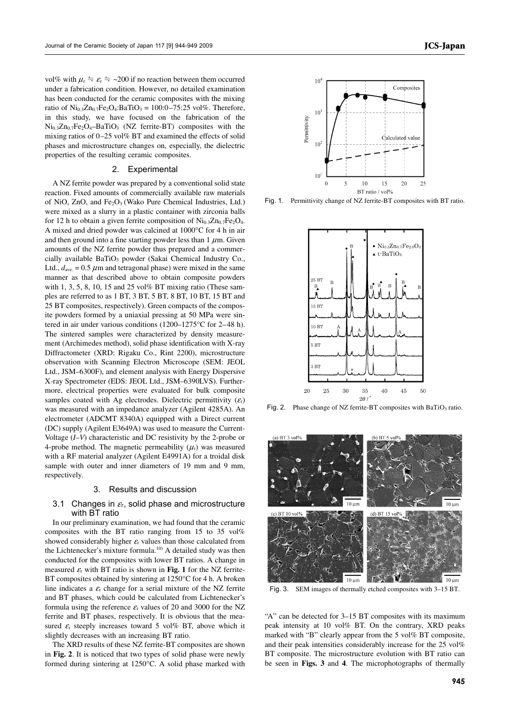vol% with  $\mu_{\rm r} \doteq \varepsilon_{\rm r} \doteq -200$  if no reaction between them occurred under a fabrication condition. However, no detailed examination has been conducted for the ceramic composites with the mixing ratio of  $Ni_{0.3}Zn_{0.7}Fe_2O_4$ :BaTiO<sub>3</sub> = 100:0-75:25 vol%. Therefore, in this study, we have focused on the fabrication of the Ni0.3Zn0.7Fe2O4–BaTiO3 (NZ ferrite-BT) composites with the mixing ratios of 0–25 vol% BT and examined the effects of solid phases and microstructure changes on, especially, the dielectric properties of the resulting ceramic composites.

### 2. Experimental

A NZ ferrite powder was prepared by a conventional solid state reaction. Fixed amounts of commercially available raw materials of NiO, ZnO, and Fe<sub>2</sub>O<sub>3</sub> (Wako Pure Chemical Industries, Ltd.) were mixed as a slurry in a plastic container with zirconia balls for 12 h to obtain a given ferrite composition of  $\text{Ni}_{0.3}\text{Zn}_{0.7}\text{Fe}_2\text{O}_4$ . A mixed and dried powder was calcined at 1000°C for 4 h in air and then ground into a fine starting powder less than  $1 \mu$ m. Given amounts of the NZ ferrite powder thus prepared and a commercially available  $BaTiO<sub>3</sub>$  powder (Sakai Chemical Industry Co., Ltd.,  $d_{ave} = 0.5 \mu$ m and tetragonal phase) were mixed in the same manner as that described above to obtain composite powders with 1, 3, 5, 8, 10, 15 and 25 vol% BT mixing ratio (These samples are referred to as 1 BT, 3 BT, 5 BT, 8 BT, 10 BT, 15 BT and 25 BT composites, respectively). Green compacts of the composite powders formed by a uniaxial pressing at 50 MPa were sintered in air under various conditions (1200–1275°C for 2–48 h). The sintered samples were characterized by density measurement (Archimedes method), solid phase identification with X-ray Diffractometer (XRD: Rigaku Co., Rint 2200), microstructure observation with Scanning Electron Microscope (SEM: JEOL Ltd., JSM–6300F), and element analysis with Energy Dispersive X-ray Spectrometer (EDS: JEOL Ltd., JSM–6390LVS). Furthermore, electrical properties were evaluated for bulk composite samples coated with Ag electrodes. Dielectric permittivity  $(\varepsilon_r)$ was measured with an impedance analyzer (Agilent 4285A). An electrometer (ADCMT 8340A) equipped with a Direct current (DC) supply (Agilent E3649A) was used to measure the Current-Voltage (*I–V*) characteristic and DC resistivity by the 2-probe or 4-probe method. The magnetic permeability  $(\mu_r)$  was measured with a RF material analyzer (Agilent E4991A) for a troidal disk sample with outer and inner diameters of 19 mm and 9 mm, respectively.

#### 3. Results and discussion

# 3.1 Changes in  $\varepsilon_{r}$ , solid phase and microstructure with BT ratio

In our preliminary examination, we had found that the ceramic composites with the BT ratio ranging from 15 to 35 vol% showed considerably higher  $\varepsilon_r$  values than those calculated from the Lichtenecker's mixture formula.<sup>10)</sup> A detailed study was then conducted for the composites with lower BT ratios. A change in measured  $\varepsilon_r$  with BT ratio is shown in Fig. 1 for the NZ ferrite-BT composites obtained by sintering at 1250 °C for 4 h. A broken line indicates a  $\varepsilon$ <sub>r</sub> change for a serial mixture of the NZ ferrite and BT phases, which could be calculated from Lichtenecker's formula using the reference  $\varepsilon$ <sub>r</sub> values of 20 and 3000 for the NZ ferrite and BT phases, respectively. It is obvious that the measured  $\varepsilon$ <sub>r</sub> steeply increases toward 5 vol% BT, above which it slightly decreases with an increasing BT ratio.

The XRD results of these NZ ferrite-BT composites are shown in **Fig. 2**. It is noticed that two types of solid phase were newly formed during sintering at 1250°C. A solid phase marked with



Fig. 1. Permittivity change of NZ ferrite-BT composites with BT ratio.



Fig. 2. Phase change of NZ ferrite-BT composites with BaTiO<sub>3</sub> ratio.



Fig. 3. SEM images of thermally etched composites with 3–15 BT.

"A" can be detected for 3–15 BT composites with its maximum peak intensity at 10 vol% BT. On the contrary, XRD peaks marked with "B" clearly appear from the 5 vol% BT composite, and their peak intensities considerably increase for the 25 vol% BT composite. The microstructure evolution with BT ratio can be seen in **Figs. 3** and **4**. The microphotographs of thermally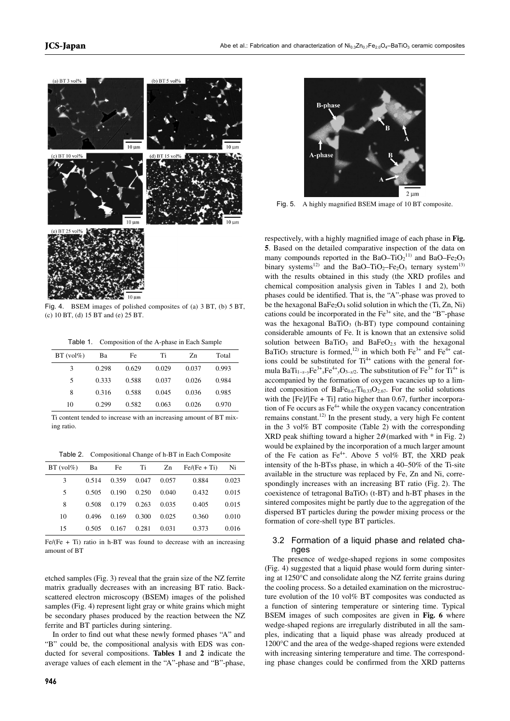

Fig. 4. BSEM images of polished composites of (a) 3 BT, (b) 5 BT, (c) 10 BT, (d) 15 BT and (e) 25 BT.

Table 1. Composition of the A-phase in Each Sample

| $BT (vol\%)$ | Ba    | Fe    | Ti    | Zn    | Total |
|--------------|-------|-------|-------|-------|-------|
| 3            | 0.298 | 0.629 | 0.029 | 0.037 | 0.993 |
| 5            | 0.333 | 0.588 | 0.037 | 0.026 | 0.984 |
| 8            | 0.316 | 0.588 | 0.045 | 0.036 | 0.985 |
| 10           | 0.299 | 0.582 | 0.063 | 0.026 | 0.970 |

Ti content tended to increase with an increasing amount of BT mixing ratio.

Table 2. Compositional Change of h-BT in Each Composite

| $BT (vol\%)$ | Ba    | Fe    | Ti    | Zn    | $Fe/(Fe + Ti)$ | Ni    |
|--------------|-------|-------|-------|-------|----------------|-------|
| 3            | 0.514 | 0.359 | 0.047 | 0.057 | 0.884          | 0.023 |
| 5            | 0.505 | 0.190 | 0.250 | 0.040 | 0.432          | 0.015 |
| 8            | 0.508 | 0.179 | 0.263 | 0.035 | 0.405          | 0.015 |
| 10           | 0.496 | 0.169 | 0.300 | 0.025 | 0.360          | 0.010 |
| 15           | 0.505 | 0.167 | 0.281 | 0.031 | 0.373          | 0.016 |

 $Fe/(Fe + Ti)$  ratio in h-BT was found to decrease with an increasing amount of BT

etched samples (Fig. 3) reveal that the grain size of the NZ ferrite matrix gradually decreases with an increasing BT ratio. Backscattered electron microscopy (BSEM) images of the polished samples (Fig. 4) represent light gray or white grains which might be secondary phases produced by the reaction between the NZ ferrite and BT particles during sintering.

In order to find out what these newly formed phases "A" and "B" could be, the compositional analysis with EDS was conducted for several compositions. **Tables 1** and **2** indicate the average values of each element in the "A"-phase and "B"-phase,



Fig. 5. A highly magnified BSEM image of 10 BT composite.

respectively, with a highly magnified image of each phase in **Fig. 5**. Based on the detailed comparative inspection of the data on many compounds reported in the BaO–TiO<sub>2</sub><sup>11)</sup> and BaO–Fe<sub>2</sub>O<sub>3</sub> binary systems<sup>12)</sup> and the BaO–TiO<sub>2</sub>–Fe<sub>2</sub>O<sub>3</sub> ternary system<sup>13)</sup> with the results obtained in this study (the XRD profiles and chemical composition analysis given in Tables 1 and 2), both phases could be identified. That is, the "A"-phase was proved to be the hexagonal BaFe<sub>2</sub>O<sub>4</sub> solid solution in which the (Ti, Zn, Ni) cations could be incorporated in the  $Fe<sup>3+</sup>$  site, and the "B"-phase was the hexagonal BaTiO<sub>3</sub> (h-BT) type compound containing considerable amounts of Fe. It is known that an extensive solid solution between  $BaTiO<sub>3</sub>$  and  $BaFeO<sub>2.5</sub>$  with the hexagonal BaTiO<sub>3</sub> structure is formed,<sup>12)</sup> in which both Fe<sup>3+</sup> and Fe<sup>4+</sup> cations could be substituted for  $Ti^{4+}$  cations with the general formula BaTi<sub>1–*x*–*y*Fe<sup>3+</sup><sub>*x*</sub>Fe<sup>4+</sup><sub>*y*</sub>O<sub>3–*x*/2</sub>. The substitution of Fe<sup>3+</sup> for Ti<sup>4+</sup> is</sub> accompanied by the formation of oxygen vacancies up to a limited composition of BaFe $_{0.67}$ Ti<sub>0.33</sub>O<sub>2.67</sub>. For the solid solutions with the  $[Fe]/[Fe + Ti]$  ratio higher than 0.67, further incorporation of Fe occurs as  $Fe<sup>4+</sup>$  while the oxygen vacancy concentration remains constant.<sup>12)</sup> In the present study, a very high Fe content in the 3 vol% BT composite (Table 2) with the corresponding XRD peak shifting toward a higher  $2\theta$  (marked with  $*$  in Fig. 2) would be explained by the incorporation of a much larger amount of the Fe cation as  $Fe^{4+}$ . Above 5 vol% BT, the XRD peak intensity of the h-BTss phase, in which a 40–50% of the Ti-site available in the structure was replaced by Fe, Zn and Ni, correspondingly increases with an increasing BT ratio (Fig. 2). The coexistence of tetragonal  $BaTiO<sub>3</sub>$  (t-BT) and h-BT phases in the sintered composites might be partly due to the aggregation of the dispersed BT particles during the powder mixing process or the formation of core-shell type BT particles.

# 3.2 Formation of a liquid phase and related changes

The presence of wedge-shaped regions in some composites (Fig. 4) suggested that a liquid phase would form during sintering at 1250°C and consolidate along the NZ ferrite grains during the cooling process. So a detailed examination on the microstructure evolution of the 10 vol% BT composites was conducted as a function of sintering temperature or sintering time. Typical BSEM images of such composites are given in **Fig. 6** where wedge-shaped regions are irregularly distributed in all the samples, indicating that a liquid phase was already produced at 1200°C and the area of the wedge-shaped regions were extended with increasing sintering temperature and time. The corresponding phase changes could be confirmed from the XRD patterns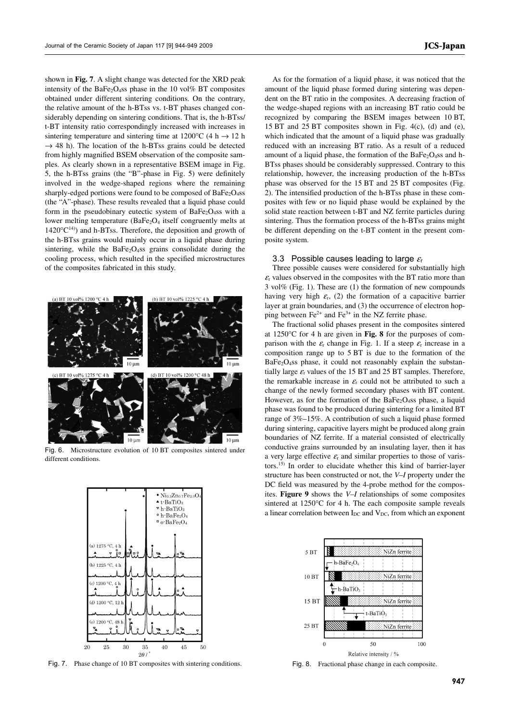shown in **Fig. 7**. A slight change was detected for the XRD peak intensity of the BaFe<sub>2</sub>O<sub>4</sub>ss phase in the 10 vol% BT composites obtained under different sintering conditions. On the contrary, the relative amount of the h-BTss vs. t-BT phases changed considerably depending on sintering conditions. That is, the h-BTss/ t-BT intensity ratio correspondingly increased with increases in sintering temperature and sintering time at 1200°C (4 h  $\rightarrow$  12 h  $\rightarrow$  48 h). The location of the h-BTss grains could be detected from highly magnified BSEM observation of the composite samples. As clearly shown in a representative BSEM image in Fig. 5, the h-BTss grains (the "B"-phase in Fig. 5) were definitely involved in the wedge-shaped regions where the remaining

sharply-edged portions were found to be composed of BaFe<sub>2</sub>O<sub>4</sub>ss (the "A"-phase). These results revealed that a liquid phase could form in the pseudobinary eutectic system of BaFe<sub>2</sub>O<sub>4</sub>ss with a lower melting temperature (BaFe<sub>2</sub>O<sub>4</sub> itself congruently melts at  $1420^{\circ}C^{14}$ ) and h-BTss. Therefore, the deposition and growth of the h-BTss grains would mainly occur in a liquid phase during sintering, while the BaFe<sub>2</sub>O<sub>4</sub>ss grains consolidate during the cooling process, which resulted in the specified microstructures of the composites fabricated in this study.



Fig. 6. Microstructure evolution of 10 BT composites sintered under different conditions.



Fig. 7. Phase change of 10 BT composites with sintering conditions. Fig. 8. Fractional phase change in each composite.

As for the formation of a liquid phase, it was noticed that the amount of the liquid phase formed during sintering was dependent on the BT ratio in the composites. A decreasing fraction of the wedge-shaped regions with an increasing BT ratio could be recognized by comparing the BSEM images between 10 BT, 15 BT and 25 BT composites shown in Fig. 4(c), (d) and (e), which indicated that the amount of a liquid phase was gradually reduced with an increasing BT ratio. As a result of a reduced amount of a liquid phase, the formation of the  $BaFe<sub>2</sub>O<sub>4</sub>$ ss and h-BTss phases should be considerably suppressed. Contrary to this relationship, however, the increasing production of the h-BTss phase was observed for the 15 BT and 25 BT composites (Fig. 2). The intensified production of the h-BTss phase in these composites with few or no liquid phase would be explained by the solid state reaction between t-BT and NZ ferrite particles during sintering. Thus the formation process of the h-BTss grains might be different depending on the t-BT content in the present composite system.

#### 3.3 Possible causes leading to large  $\varepsilon$

Three possible causes were considered for substantially high  $\varepsilon$ <sub>r</sub> values observed in the composites with the BT ratio more than 3 vol% (Fig. 1). These are (1) the formation of new compounds having very high  $\varepsilon_r$ , (2) the formation of a capacitive barrier layer at grain boundaries, and (3) the occurrence of electron hopping between  $Fe^{2+}$  and  $Fe^{3+}$  in the NZ ferrite phase.

The fractional solid phases present in the composites sintered at 1250°C for 4 h are given in **Fig. 8** for the purposes of comparison with the  $\varepsilon_r$  change in Fig. 1. If a steep  $\varepsilon_r$  increase in a composition range up to 5 BT is due to the formation of the  $BaFe<sub>2</sub>O<sub>4</sub>$ ss phase, it could not reasonably explain the substantially large  $\varepsilon_r$  values of the 15 BT and 25 BT samples. Therefore, the remarkable increase in  $\varepsilon$ <sub>r</sub> could not be attributed to such a change of the newly formed secondary phases with BT content. However, as for the formation of the BaFe<sub>2</sub>O<sub>4</sub>ss phase, a liquid phase was found to be produced during sintering for a limited BT range of 3%–15%. A contribution of such a liquid phase formed during sintering, capacitive layers might be produced along grain boundaries of NZ ferrite. If a material consisted of electrically conductive grains surrounded by an insulating layer, then it has a very large effective  $\varepsilon$ <sub>r</sub> and similar properties to those of varistors.15) In order to elucidate whether this kind of barrier-layer structure has been constructed or not, the *V–I* property under the DC field was measured by the 4-probe method for the composites. **Figure 9** shows the *V–I* relationships of some composites sintered at 1250°C for 4 h. The each composite sample reveals a linear correlation between  $I_{DC}$  and  $V_{DC}$ , from which an exponent

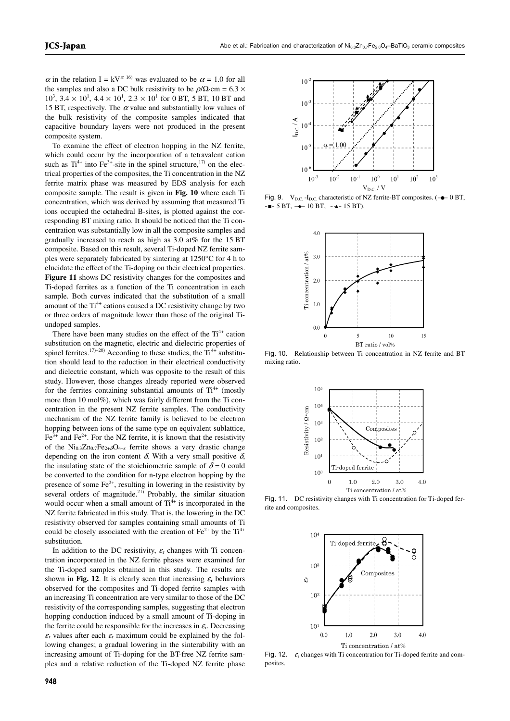$\alpha$  in the relation I = kV<sup> $\alpha$  16)</sup> was evaluated to be  $\alpha$  = 1.0 for all the samples and also a DC bulk resistivity to be  $\rho/\Omega$ ·cm = 6.3  $\times$  $10^3$ ,  $3.4 \times 10^1$ ,  $4.4 \times 10^1$ ,  $2.3 \times 10^1$  for 0 BT, 5 BT, 10 BT and 15 BT, respectively. The  $\alpha$  value and substantially low values of the bulk resistivity of the composite samples indicated that capacitive boundary layers were not produced in the present composite system.

To examine the effect of electron hopping in the NZ ferrite, which could occur by the incorporation of a tetravalent cation such as  $Ti^{4+}$  into Fe<sup>3+</sup>-site in the spinel structure,<sup>17)</sup> on the electrical properties of the composites, the Ti concentration in the NZ ferrite matrix phase was measured by EDS analysis for each composite sample. The result is given in **Fig. 10** where each Ti concentration, which was derived by assuming that measured Ti ions occupied the octahedral B-sites, is plotted against the corresponding BT mixing ratio. It should be noticed that the Ti concentration was substantially low in all the composite samples and gradually increased to reach as high as 3.0 at% for the 15 BT composite. Based on this result, several Ti-doped NZ ferrite samples were separately fabricated by sintering at 1250°C for 4 h to elucidate the effect of the Ti-doping on their electrical properties. **Figure 11** shows DC resistivity changes for the composites and Ti-doped ferrites as a function of the Ti concentration in each sample. Both curves indicated that the substitution of a small amount of the  $Ti^{4+}$  cations caused a DC resistivity change by two or three orders of magnitude lower than those of the original Tiundoped samples.

There have been many studies on the effect of the  $Ti^{4+}$  cation substitution on the magnetic, electric and dielectric properties of spinel ferrites.<sup>17)–20)</sup> According to these studies, the  $Ti^{4+}$  substitution should lead to the reduction in their electrical conductivity and dielectric constant, which was opposite to the result of this study. However, those changes already reported were observed for the ferrites containing substantial amounts of  $Ti^{4+}$  (mostly more than 10 mol%), which was fairly different from the Ti concentration in the present NZ ferrite samples. The conductivity mechanism of the NZ ferrite family is believed to be electron hopping between ions of the same type on equivalent sublattice,  $Fe<sup>3+</sup>$  and  $Fe<sup>2+</sup>$ . For the NZ ferrite, it is known that the resistivity of the  $Ni_{0.3}Zn_{0.7}Fe_{2+\delta}O_{4-x}$  ferrite shows a very drastic change depending on the iron content  $\delta$ . With a very small positive  $\delta$ . the insulating state of the stoichiometric sample of  $\delta = 0$  could be converted to the condition for n-type electron hopping by the presence of some  $Fe<sup>2+</sup>$ , resulting in lowering in the resistivity by several orders of magnitude.<sup>21)</sup> Probably, the similar situation would occur when a small amount of  $Ti<sup>4+</sup>$  is incorporated in the NZ ferrite fabricated in this study. That is, the lowering in the DC resistivity observed for samples containing small amounts of Ti could be closely associated with the creation of  $Fe^{2+}$  by the  $Ti^{4+}$ substitution.

In addition to the DC resistivity,  $\varepsilon_r$  changes with Ti concentration incorporated in the NZ ferrite phases were examined for the Ti-doped samples obtained in this study. The results are shown in **Fig. 12**. It is clearly seen that increasing  $\varepsilon_r$  behaviors observed for the composites and Ti-doped ferrite samples with an increasing Ti concentration are very similar to those of the DC resistivity of the corresponding samples, suggesting that electron hopping conduction induced by a small amount of Ti-doping in the ferrite could be responsible for the increases in  $\varepsilon_{r}$ . Decreasing  $\epsilon_r$  values after each  $\epsilon_r$  maximum could be explained by the following changes; a gradual lowering in the sinterability with an increasing amount of Ti-doping for the BT-free NZ ferrite samples and a relative reduction of the Ti-doped NZ ferrite phase



Fig. 9.  $V_{\text{D.C.}}$  -I<sub>D.C.</sub> characteristic of NZ ferrite-BT composites. ( $\rightarrow$  0 BT,  $-$  = 5 BT,  $+$  10 BT,  $-$  15 BT).



Fig. 10. Relationship between Ti concentration in NZ ferrite and BT mixing ratio.



Fig. 11. DC resistivity changes with Ti concentration for Ti-doped ferrite and composites.



Fig. 12.  $\varepsilon_r$  changes with Ti concentration for Ti-doped ferrite and composites.